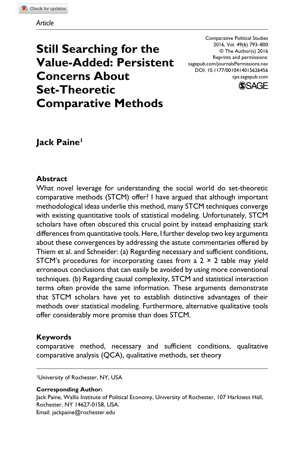# **Still Searching for the Value-Added: Persistent Concerns About Set-Theoretic Comparative Methods**

Comparative Political Studies 2016, Vol. 49(6) 793–800 © The Author(s) 2016 Reprints and permissions: sagepub.com/journalsPermissions.nav DOI: 10.1177/0010414015626456 cps.sagepub.com



# **Jack Paine1**

### **Abstract**

What novel leverage for understanding the social world do set-theoretic comparative methods (STCM) offer? I have argued that although important methodological ideas underlie this method, many STCM techniques converge with existing quantitative tools of statistical modeling. Unfortunately, STCM scholars have often obscured this crucial point by instead emphasizing stark differences from quantitative tools. Here, I further develop two key arguments about these convergences by addressing the astute commentaries offered by Thiem et al. and Schneider: (a) Regarding necessary and sufficient conditions, STCM's procedures for incorporating cases from a  $2 \times 2$  table may yield erroneous conclusions that can easily be avoided by using more conventional techniques. (b) Regarding causal complexity, STCM and statistical interaction terms often provide the same information. These arguments demonstrate that STCM scholars have yet to establish distinctive advantages of their methods over statistical modeling. Furthermore, alternative qualitative tools offer considerably more promise than does STCM.

### **Keywords**

comparative method, necessary and sufficient conditions, qualitative comparative analysis (QCA), qualitative methods, set theory

1University of Rochester, NY, USA

#### **Corresponding Author:**

Jack Paine, Wallis Institute of Political Economy, University of Rochester, 107 Harkness Hall, Rochester, NY 14627-0158, USA. Email: [jackpaine@rochester.edu](mailto:jackpaine@rochester.edu)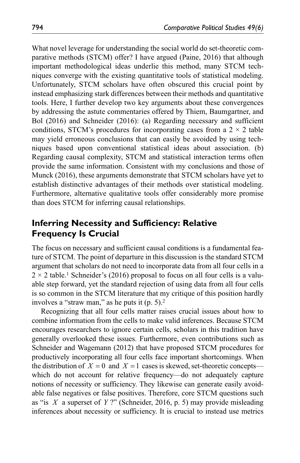What novel leverage for understanding the social world do set-theoretic comparative methods (STCM) offer? I have argued (Paine, 2016) that although important methodological ideas underlie this method, many STCM techniques converge with the existing quantitative tools of statistical modeling. Unfortunately, STCM scholars have often obscured this crucial point by instead emphasizing stark differences between their methods and quantitative tools. Here, I further develop two key arguments about these convergences by addressing the astute commentaries offered by Thiem, Baumgartner, and Bol (2016) and Schneider (2016): (a) Regarding necessary and sufficient conditions, STCM's procedures for incorporating cases from a  $2 \times 2$  table may yield erroneous conclusions that can easily be avoided by using techniques based upon conventional statistical ideas about association. (b) Regarding causal complexity, STCM and statistical interaction terms often provide the same information. Consistent with my conclusions and those of Munck (2016), these arguments demonstrate that STCM scholars have yet to establish distinctive advantages of their methods over statistical modeling. Furthermore, alternative qualitative tools offer considerably more promise than does STCM for inferring causal relationships.

# **Inferring Necessity and Sufficiency: Relative Frequency Is Crucial**

The focus on necessary and sufficient causal conditions is a fundamental feature of STCM. The point of departure in this discussion is the standard STCM argument that scholars do not need to incorporate data from all four cells in a  $2 \times 2$  table.<sup>1</sup> Schneider's (2016) proposal to focus on all four cells is a valuable step forward, yet the standard rejection of using data from all four cells is so common in the STCM literature that my critique of this position hardly involves a "straw man," as he puts it (p. 5).2

Recognizing that all four cells matter raises crucial issues about how to combine information from the cells to make valid inferences. Because STCM encourages researchers to ignore certain cells, scholars in this tradition have generally overlooked these issues. Furthermore, even contributions such as Schneider and Wagemann (2012) that have proposed STCM procedures for productively incorporating all four cells face important shortcomings. When the distribution of  $X = 0$  and  $X = 1$  cases is skewed, set-theoretic concepts which do not account for relative frequency—do not adequately capture notions of necessity or sufficiency. They likewise can generate easily avoidable false negatives or false positives. Therefore, core STCM questions such as "is *X* a superset of *Y* ?" (Schneider, 2016, p. 5) may provide misleading inferences about necessity or sufficiency. It is crucial to instead use metrics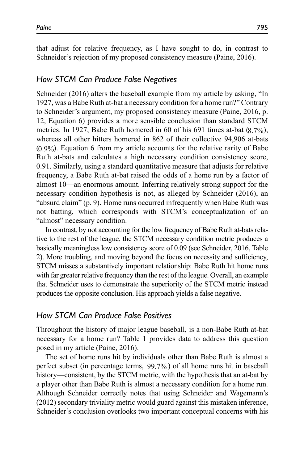that adjust for relative frequency, as I have sought to do, in contrast to Schneider's rejection of my proposed consistency measure (Paine, 2016).

### *How STCM Can Produce False Negatives*

Schneider (2016) alters the baseball example from my article by asking, "In 1927, was a Babe Ruth at-bat a necessary condition for a home run?" Contrary to Schneider's argument, my proposed consistency measure (Paine, 2016, p. 12, Equation 6) provides a more sensible conclusion than standard STCM metrics. In 1927, Babe Ruth homered in 60 of his 691 times at-bat  $(8.7\%)$ , whereas all other hitters homered in 862 of their collective 94,906 at-bats (0.9%). Equation 6 from my article accounts for the relative rarity of Babe Ruth at-bats and calculates a high necessary condition consistency score, 0.91. Similarly, using a standard quantitative measure that adjusts for relative frequency, a Babe Ruth at-bat raised the odds of a home run by a factor of almost 10—an enormous amount. Inferring relatively strong support for the necessary condition hypothesis is not, as alleged by Schneider (2016), an "absurd claim" (p. 9). Home runs occurred infrequently when Babe Ruth was not batting, which corresponds with STCM's conceptualization of an "almost" necessary condition.

In contrast, by not accounting for the low frequency of Babe Ruth at-bats relative to the rest of the league, the STCM necessary condition metric produces a basically meaningless low consistency score of 0.09 (see Schneider, 2016, Table 2). More troubling, and moving beyond the focus on necessity and sufficiency, STCM misses a substantively important relationship: Babe Ruth hit home runs with far greater relative frequency than the rest of the league. Overall, an example that Schneider uses to demonstrate the superiority of the STCM metric instead produces the opposite conclusion. His approach yields a false negative.

### *How STCM Can Produce False Positives*

Throughout the history of major league baseball, is a non-Babe Ruth at-bat necessary for a home run? Table 1 provides data to address this question posed in my article (Paine, 2016).

The set of home runs hit by individuals other than Babe Ruth is almost a perfect subset (in percentage terms, 99.7% ) of all home runs hit in baseball history—consistent, by the STCM metric, with the hypothesis that an at-bat by a player other than Babe Ruth is almost a necessary condition for a home run. Although Schneider correctly notes that using Schneider and Wagemann's (2012) secondary triviality metric would guard against this mistaken inference, Schneider's conclusion overlooks two important conceptual concerns with his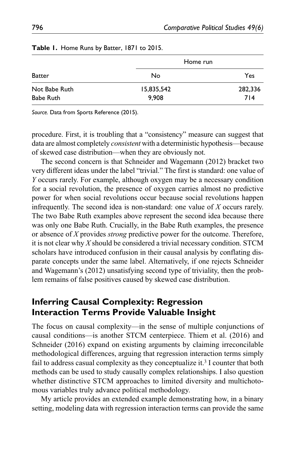|               | Home run   |         |  |  |  |
|---------------|------------|---------|--|--|--|
| <b>Batter</b> | No         | Yes     |  |  |  |
| Not Babe Ruth | 15,835,542 | 282,336 |  |  |  |
| Babe Ruth     | 9.908      | 714     |  |  |  |

| Table 1. Home Runs by Batter, 1871 to 2015. |  |  |  |  |  |  |  |
|---------------------------------------------|--|--|--|--|--|--|--|
|---------------------------------------------|--|--|--|--|--|--|--|

*Source.* Data from Sports Reference (2015).

procedure. First, it is troubling that a "consistency" measure can suggest that data are almost completely *consistent* with a deterministic hypothesis—because of skewed case distribution—when they are obviously not.

The second concern is that Schneider and Wagemann (2012) bracket two very different ideas under the label "trivial." The first is standard: one value of *Y* occurs rarely. For example, although oxygen may be a necessary condition for a social revolution, the presence of oxygen carries almost no predictive power for when social revolutions occur because social revolutions happen infrequently. The second idea is non-standard: one value of *X* occurs rarely. The two Babe Ruth examples above represent the second idea because there was only one Babe Ruth. Crucially, in the Babe Ruth examples, the presence or absence of *X* provides *strong* predictive power for the outcome. Therefore, it is not clear why *X* should be considered a trivial necessary condition. STCM scholars have introduced confusion in their causal analysis by conflating disparate concepts under the same label. Alternatively, if one rejects Schneider and Wagemann's (2012) unsatisfying second type of triviality, then the problem remains of false positives caused by skewed case distribution.

# **Inferring Causal Complexity: Regression Interaction Terms Provide Valuable Insight**

The focus on causal complexity—in the sense of multiple conjunctions of causal conditions—is another STCM centerpiece. Thiem et al. (2016) and Schneider (2016) expand on existing arguments by claiming irreconcilable methodological differences, arguing that regression interaction terms simply fail to address casual complexity as they conceptualize it.<sup>3</sup> I counter that both methods can be used to study causally complex relationships. I also question whether distinctive STCM approaches to limited diversity and multichotomous variables truly advance political methodology.

My article provides an extended example demonstrating how, in a binary setting, modeling data with regression interaction terms can provide the same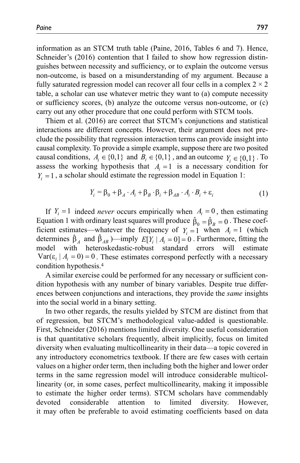information as an STCM truth table (Paine, 2016, Tables 6 and 7). Hence, Schneider's (2016) contention that I failed to show how regression distinguishes between necessity and sufficiency, or to explain the outcome versus non-outcome, is based on a misunderstanding of my argument. Because a fully saturated regression model can recover all four cells in a complex  $2 \times 2$ table, a scholar can use whatever metric they want to (a) compute necessity or sufficiency scores, (b) analyze the outcome versus non-outcome, or (c) carry out any other procedure that one could perform with STCM tools.

Thiem et al. (2016) are correct that STCM's conjunctions and statistical interactions are different concepts. However, their argument does not preclude the possibility that regression interaction terms can provide insight into causal complexity. To provide a simple example, suppose there are two posited causal conditions,  $A_i \in \{0,1\}$  and  $B_i \in \{0,1\}$ , and an outcome  $Y_i \in \{0,1\}$ . To assess the working hypothesis that  $A<sub>i</sub> = 1$  is a necessary condition for  $Y_i = 1$ , a scholar should estimate the regression model in Equation 1:

$$
Y_i = \beta_0 + \beta_A \cdot A_i + \beta_B \cdot \beta_i + \beta_{AB} \cdot A_i \cdot B_i + \varepsilon_i
$$
 (1)

If  $Y_i = 1$  indeed *never* occurs empirically when  $A_i = 0$ , then estimating Equation 1 with ordinary least squares will produce  $\hat{\beta}_0 = \hat{\beta}_B = 0$ . These coefficient estimates—whatever the frequency of  $Y_i = 1$  when  $A_i = 1$  (which determines  $\hat{\beta}_A$  and  $\hat{\beta}_{AB}$  )—imply  $E[Y_i | A_i = 0] = 0$ . Furthermore, fitting the model with heteroskedastic-robust standard errors will estimate model with heteroskedastic-robust standard errors will estimate  $Var(\varepsilon_i | A_i = 0) = 0$ . These estimates correspond perfectly with a necessary condition hypothesis.4

A similar exercise could be performed for any necessary or sufficient condition hypothesis with any number of binary variables. Despite true differences between conjunctions and interactions, they provide the *same* insights into the social world in a binary setting.

In two other regards, the results yielded by STCM are distinct from that of regression, but STCM's methodological value-added is questionable. First, Schneider (2016) mentions limited diversity. One useful consideration is that quantitative scholars frequently, albeit implicitly, focus on limited diversity when evaluating multicollinearity in their data—a topic covered in any introductory econometrics textbook. If there are few cases with certain values on a higher order term, then including both the higher and lower order terms in the same regression model will introduce considerable multicollinearity (or, in some cases, perfect multicollinearity, making it impossible to estimate the higher order terms). STCM scholars have commendably devoted considerable attention to limited diversity. However, it may often be preferable to avoid estimating coefficients based on data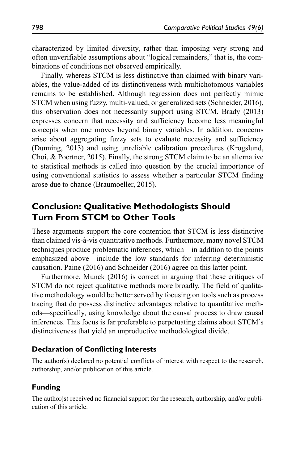characterized by limited diversity, rather than imposing very strong and often unverifiable assumptions about "logical remainders," that is, the combinations of conditions not observed empirically.

Finally, whereas STCM is less distinctive than claimed with binary variables, the value-added of its distinctiveness with multichotomous variables remains to be established. Although regression does not perfectly mimic STCM when using fuzzy, multi-valued, or generalized sets (Schneider, 2016), this observation does not necessarily support using STCM. Brady (2013) expresses concern that necessity and sufficiency become less meaningful concepts when one moves beyond binary variables. In addition, concerns arise about aggregating fuzzy sets to evaluate necessity and sufficiency (Dunning, 2013) and using unreliable calibration procedures (Krogslund, Choi, & Poertner, 2015). Finally, the strong STCM claim to be an alternative to statistical methods is called into question by the crucial importance of using conventional statistics to assess whether a particular STCM finding arose due to chance (Braumoeller, 2015).

# **Conclusion: Qualitative Methodologists Should Turn From STCM to Other Tools**

These arguments support the core contention that STCM is less distinctive than claimed vis-à-vis quantitative methods. Furthermore, many novel STCM techniques produce problematic inferences, which—in addition to the points emphasized above—include the low standards for inferring deterministic causation. Paine (2016) and Schneider (2016) agree on this latter point.

Furthermore, Munck (2016) is correct in arguing that these critiques of STCM do not reject qualitative methods more broadly. The field of qualitative methodology would be better served by focusing on tools such as process tracing that do possess distinctive advantages relative to quantitative methods—specifically, using knowledge about the causal process to draw causal inferences. This focus is far preferable to perpetuating claims about STCM's distinctiveness that yield an unproductive methodological divide.

#### **Declaration of Conflicting Interests**

The author(s) declared no potential conflicts of interest with respect to the research, authorship, and/or publication of this article.

### **Funding**

The author(s) received no financial support for the research, authorship, and/or publication of this article.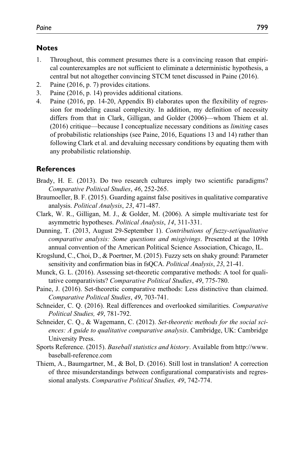### **Notes**

- 1. Throughout, this comment presumes there is a convincing reason that empirical counterexamples are not sufficient to eliminate a deterministic hypothesis, a central but not altogether convincing STCM tenet discussed in Paine (2016).
- 2. Paine (2016, p. 7) provides citations.
- 3. Paine (2016, p. 14) provides additional citations.
- 4. Paine (2016, pp. 14-20, Appendix B) elaborates upon the flexibility of regression for modeling causal complexity. In addition, my definition of necessity differs from that in Clark, Gilligan, and Golder (2006)—whom Thiem et al. (2016) critique—because I conceptualize necessary conditions as *limiting* cases of probabilistic relationships (see Paine, 2016, Equations 13 and 14) rather than following Clark et al. and devaluing necessary conditions by equating them with any probabilistic relationship.

### **References**

- Brady, H. E. (2013). Do two research cultures imply two scientific paradigms? *Comparative Political Studies*, *46*, 252-265.
- Braumoeller, B. F. (2015). Guarding against false positives in qualitative comparative analysis. *Political Analysis*, *23*, 471-487.
- Clark, W. R., Gilligan, M. J., & Golder, M. (2006). A simple multivariate test for asymmetric hypotheses. *Political Analysis*, *14*, 311-331.
- Dunning, T. (2013, August 29-September 1). *Contributions of fuzzy-set/qualitative comparative analysis: Some questions and misgivings*. Presented at the 109th annual convention of the American Political Science Association, Chicago, IL.
- Krogslund, C., Choi, D., & Poertner, M. (2015). Fuzzy sets on shaky ground: Parameter sensitivity and confirmation bias in fsQCA. *Political Analysis*, *23*, 21-41.
- Munck, G. L. (2016). Assessing set-theoretic comparative methods: A tool for qualitative comparativists? *Comparative Political Studies*, *49*, 775-780.
- Paine, J. (2016). Set-theoretic comparative methods: Less distinctive than claimed. *Comparative Political Studies*, *49*, 703-741.
- Schneider, C. Q. (2016). Real differences and overlooked similarities. *Comparative Political Studies, 49*, 781-792.
- Schneider, C. Q., & Wagemann, C. (2012). *Set-theoretic methods for the social sciences: A guide to qualitative comparative analysis*. Cambridge, UK: Cambridge University Press.
- Sports Reference. (2015). *Baseball statistics and history*. Available from [http://www.](http://www.baseball-reference.com) [baseball-reference.com](http://www.baseball-reference.com)
- Thiem, A., Baumgartner, M., & Bol, D. (2016). Still lost in translation! A correction of three misunderstandings between configurational comparativists and regressional analysts. *Comparative Political Studies, 49*, 742-774.